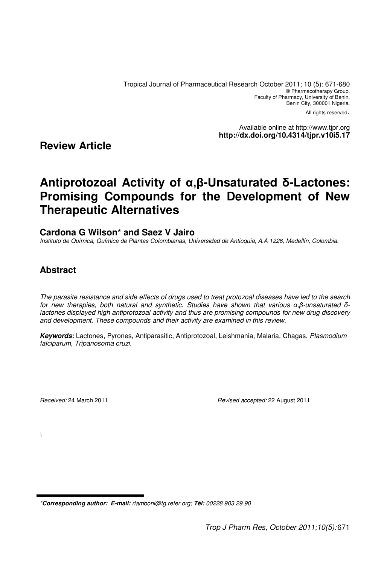Tropical Journal of Pharmaceutical Research October 2011; 10 (5): 671-680 © Pharmacotherapy Group, Faculty of Pharmacy, University of Benin, Benin City, 300001 Nigeria.

All rights reserved.

Available online at http://www.tjpr.org **http://dx.doi.org/10.4314/tjpr.v10i5.17**

# **Review Article**

# **Antiprotozoal Activity of** α**,**β**-Unsaturated** δ**-Lactones: Promising Compounds for the Development of New Therapeutic Alternatives**

### **Cardona G Wilson\* and Saez V Jairo**

Instituto de Química, Química de Plantas Colombianas, Universidad de Antioquia, A.A 1226, Medellín, Colombia.

# **Abstract**

The parasite resistance and side effects of drugs used to treat protozoal diseases have led to the search for new therapies, both natural and synthetic. Studies have shown that various α,β-unsaturated δlactones displayed high antiprotozoal activity and thus are promising compounds for new drug discovery and development. These compounds and their activity are examined in this review.

**Keywords:** Lactones, Pyrones, Antiparasitic, Antiprotozoal, Leishmania, Malaria, Chagas, Plasmodium falciparum, Tripanosoma cruzi.

Received: 24 March 2011 **Received: 22 August 2011** Revised accepted: 22 August 2011

 $\overline{\phantom{a}}$ 

<sup>\*</sup>**Corresponding author: E-mail:** rlamboni@tg.refer.org; **Tél:** 00228 903 29 90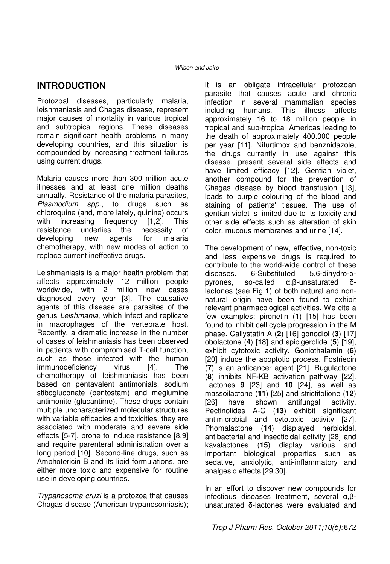# **INTRODUCTION**

Protozoal diseases, particularly malaria, leishmaniasis and Chagas disease, represent major causes of mortality in various tropical and subtropical regions. These diseases remain significant health problems in many developing countries, and this situation is compounded by increasing treatment failures using current drugs.

Malaria causes more than 300 million acute illnesses and at least one million deaths annually. Resistance of the malaria parasites, Plasmodium spp., to drugs such as chloroquine (and, more lately, quinine) occurs with increasing frequency [1,2]. This<br>resistance underlies the necessity of resistance underlies the necessity of developing new agents for malaria chemotherapy, with new modes of action to replace current ineffective drugs.

Leishmaniasis is a major health problem that affects approximately 12 million people worldwide, with 2 million new cases diagnosed every year [3]. The causative agents of this disease are parasites of the genus Leishmania, which infect and replicate in macrophages of the vertebrate host. Recently, a dramatic increase in the number of cases of leishmaniasis has been observed in patients with compromised T-cell function, such as those infected with the human immunodeficiency virus [4]. The chemotherapy of leishmaniasis has been based on pentavalent antimonials, sodium stibogluconate (pentostam) and meglumine antimonite (glucantime). These drugs contain multiple uncharacterized molecular structures with variable efficacies and toxicities, they are associated with moderate and severe side effects [5-7], prone to induce resistance [8,9] and require parenteral administration over a long period [10]. Second-line drugs, such as Amphotericin B and its lipid formulations, are either more toxic and expensive for routine use in developing countries.

Trypanosoma cruzi is a protozoa that causes Chagas disease (American trypanosomiasis); it is an obligate intracellular protozoan parasite that causes acute and chronic infection in several mammalian species including humans. This illness affects approximately 16 to 18 million people in tropical and sub-tropical Americas leading to the death of approximately 400.000 people per year [11]. Nifurtimox and benznidazole, the drugs currently in use against this disease, present several side effects and have limited efficacy [12]. Gentian violet, another compound for the prevention of Chagas disease by blood transfusion [13], leads to purple colouring of the blood and staining of patients' tissues. The use of gentian violet is limited due to its toxicity and other side effects such as alteration of skin color, mucous membranes and urine [14].

The development of new, effective, non-toxic and less expensive drugs is required to contribute to the world-wide control of these diseases. 6-Substituted 5,6-dihydro-αpyrones, so-called α,β-unsaturated δlactones (see Fig **1**) of both natural and nonnatural origin have been found to exhibit relevant pharmacological activities. We cite a few examples: pironetin (**1**) [15] has been found to inhibit cell cycle progression in the M phase. Callystatin A (**2**) [16] gonodiol (**3**) [17] obolactone (**4**) [18] and spicigerolide (**5**) [19], exhibit cytotoxic activity. Goniothalamin (**6**) [20] induce the apoptotic process. Fostriecin (**7**) is an anticancer agent [21]. Rugulactone (**8**) inhibits NF-KB activation pathway [22]. Lactones **9** [23] and **10** [24], as well as massoilactone (**11**) [25] and strictifolione (**12**) [26] have shown antifungal activity. Pectinolides A-C (**13**) exhibit significant antimicrobial and cytotoxic activity [27]. Phomalactone (**14**) displayed herbicidal, antibacterial and insecticidal activity [28] and kavalactones (**15**) display various and important biological properties such as sedative, anxiolytic, anti-inflammatory and analgesic effects [29,30].

In an effort to discover new compounds for infectious diseases treatment, several α,βunsaturated δ-lactones were evaluated and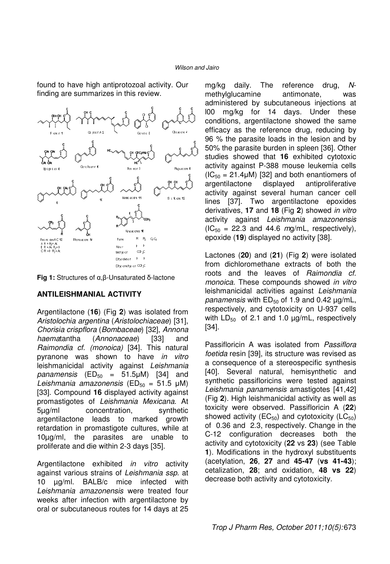found to have high antiprotozoal activity. Our finding are summarizes in this review.



**Fig 1:** Structures of α,β-Unsaturated δ-lactone

### **ANTILEISHMANIAL ACTIVITY**

Argentilactone (**16**) (Fig **2**) was isolated from Aristolochia argentina (Aristolochiaceae) [31], Chorisia crispflora (Bombaceae) [32], Annona haematantha (Annonaceae) [33] and Raimondia cf. (monoica) [34]. This natural pyranone was shown to have in vitro leishmanicidal activity against Leishmania panamensis  $(ED_{50} = 51.5 \mu M)$  [34] and Leishmania amazonensis (ED<sub>50</sub> = 51.5 µM) [33]. Compound **16** displayed activity against promastigotes of Leishmania Mexicana. At 5µg/ml concentration, synthetic argentilactone leads to marked growth retardation in promastigote cultures, while at 10µg/ml, the parasites are unable to proliferate and die within 2-3 days [35].

Argentilactone exhibited *in vitro* activity against various strains of Leishmania ssp. at 10 µg/ml. BALB/c mice infected with Leishmania amazonensis were treated four weeks after infection with argentilactone by oral or subcutaneous routes for 14 days at 25

mg/kg daily. The reference drug, Nmethylglucamine antimonate, was administered by subcutaneous injections at l00 mg/kg for 14 days. Under these conditions, argentilactone showed the same efficacy as the reference drug, reducing by 96 % the parasite loads in the lesion and by 50% the parasite burden in spleen [36]. Other studies showed that **16** exhibited cytotoxic activity against P-388 mouse leukemia cells  $(IC_{50} = 21.4 \mu M)$  [32] and both enantiomers of argentilactone displayed antiproliferative activity against several human cancer cell lines [37]. Two argentilactone epoxides derivatives, **17** and **18** (Fig **2**) showed in vitro activity against Leishmania amazonensis  $(IC_{50} = 22.3$  and 44.6 mg/mL, respectively), epoxide (**19**) displayed no activity [38].

Lactones (**20**) and (**21**) (Fig **2**) were isolated from dichloromethane extracts of both the roots and the leaves of Raimondia cf. monoica. These compounds showed in vitro leishmanicidal activities against Leishmania panamensis with  $ED_{50}$  of 1.9 and 0.42  $\mu$ g/mL, respectively, and cytotoxicity on U-937 cells with  $LD_{50}$  of 2.1 and 1.0  $\mu$ g/mL, respectively [34].

Passifloricin A was isolated from Passiflora foetida resin [39], its structure was revised as a consequence of a stereospecific synthesis [40]. Several natural, hemisynthetic and synthetic passifloricins were tested against Leishmania panamensis amastigotes [41,42] (Fig **2**). High leishmanicidal activity as well as toxicity were observed. Passifloricin A (**22**) showed activity ( $EC_{50}$ ) and cytotoxicity ( $LC_{50}$ ) of 0.36 and 2.3, respectively. Change in the C-12 configuration decreases both the activity and cytotoxicity (**22** vs **23**) (see Table **1**). Modifications in the hydroxyl substituents (acetylation, **26**, **27** and **45-47** (**vs 41-43**); cetalization, **28**; and oxidation, **48 vs 22**) decrease both activity and cytotoxicity.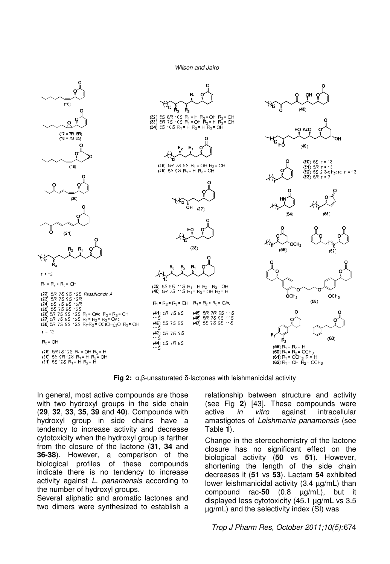

**Fig 2:** α,β-unsaturated δ-lactones with leishmanicidal activity

In general, most active compounds are those with two hydroxyl groups in the side chain (**29**, **32**, **33**, **35**, **39** and **40**). Compounds with hydroxyl group in side chains have a tendency to increase activity and decrease cytotoxicity when the hydroxyl group is farther from the closure of the lactone (**31**, **34** and **36-38**). However, a comparison of the biological profiles of these compounds indicate there is no tendency to increase activity against L. panamensis according to the number of hydroxyl groups.

Several aliphatic and aromatic lactones and two dimers were synthesized to establish a relationship between structure and activity (see Fig **2**) [43]. These compounds were active *in vitro* against intracellular amastigotes of Leishmania panamensis (see Table **1**).

Change in the stereochemistry of the lactone closure has no significant effect on the biological activity (**50** vs **51**). However, shortening the length of the side chain decreases it (**51** vs **53**). Lactam **54** exhibited lower leishmanicidal activity (3.4 µg/mL) than compound rac-**50** (0.8 µg/mL), but it displayed less cytotoxicity (45.1 µg/mL vs 3.5 µg/mL) and the selectivity index (SI) was

### Trop J Pharm Res, October 2011;10(5): 674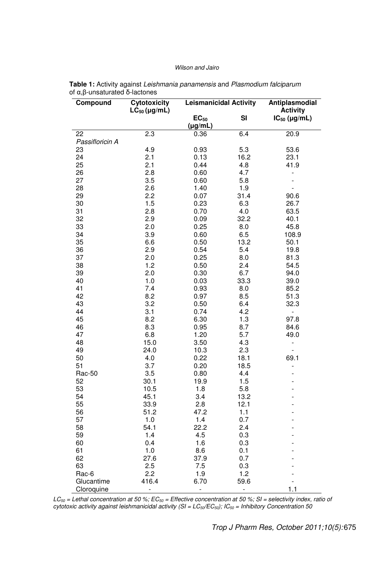| Compound        | Cytotoxicity      | <b>Leismanicidal Activity</b> |            | Antiplasmodial           |
|-----------------|-------------------|-------------------------------|------------|--------------------------|
|                 | $LC_{50}$ (µg/mL) |                               |            | <b>Activity</b>          |
|                 |                   | $EC_{50}$<br>$(\mu g/mL)$     | SI         | $IC_{50}$ (µg/mL)        |
| 22              | 2.3               | 0.36                          | 6.4        | 20.9                     |
| Passifloricin A |                   |                               |            |                          |
| 23              | 4.9               | 0.93                          | 5.3        | 53.6                     |
| 24              | 2.1               | 0.13                          | 16.2       | 23.1                     |
| 25              | 2.1               | 0.44                          | 4.8        | 41.9                     |
| 26              | 2.8               | 0.60                          | 4.7        | $\overline{\phantom{0}}$ |
| 27              | 3.5               | 0.60                          | 5.8        |                          |
| 28              | 2.6               | 1.40                          | 1.9        |                          |
| 29              | 2.2               | 0.07                          | 31.4       | 90.6                     |
| 30              | 1.5               | 0.23                          | 6.3        | 26.7                     |
| 31              | 2.8               | 0.70                          | 4.0        | 63.5                     |
| 32              | 2.9               | 0.09                          | 32.2       | 40.1                     |
| 33              | 2.0               | 0.25                          | 8.0        | 45.8                     |
| 34              | 3.9               | 0.60                          | 6.5        | 108.9                    |
| 35              | 6.6               | 0.50                          | 13.2       | 50.1                     |
| 36              | 2.9               | 0.54                          | 5.4        | 19.8                     |
| 37              | 2.0               | 0.25                          | 8.0        | 81.3                     |
| 38              | 1.2               | 0.50                          | 2.4        | 54.5                     |
| 39              | 2.0               | 0.30                          | 6.7        | 94.0                     |
| 40              | 1.0               | 0.03                          | 33.3       | 39.0                     |
| 41              | 7.4               | 0.93                          | 8.0        | 85.2                     |
| 42              | 8.2               | 0.97                          | 8.5        | 51.3                     |
| 43              | 3.2               | 0.50                          | 6.4        | 32.3                     |
| 44              | 3.1               | 0.74                          | 4.2        | $\overline{\phantom{a}}$ |
| 45              | 8.2               | 6.30                          | 1.3        | 97.8                     |
| 46              | 8.3               | 0.95                          | 8.7        | 84.6                     |
| 47              | 6.8               | 1.20                          | 5.7        | 49.0                     |
| 48              | 15.0              | 3.50                          | 4.3        | $\qquad \qquad -$        |
| 49              | 24.0              | 10.3                          | 2.3        |                          |
| 50              | 4.0               | 0.22                          | 18.1       | 69.1                     |
| 51              | 3.7               | 0.20                          | 18.5       | $\overline{\phantom{0}}$ |
| Rac-50          | 3.5               | 0.80                          | 4.4        |                          |
| 52              | 30.1              | 19.9                          | 1.5        |                          |
| 53              | 10.5              | 1.8                           | 5.8        |                          |
| 54              | 45.1              | 3.4                           | 13.2       |                          |
| 55              | 33.9              | 2.8                           | 12.1       |                          |
| 56              | 51.2              | 47.2                          | 1.1        |                          |
| 57              | 1.0               | 1.4                           | 0.7        |                          |
| 58              | 54.1              | 22.2                          | 2.4        |                          |
| 59              | 1.4               | 4.5                           | 0.3        |                          |
| 60<br>61        | 0.4<br>1.0        | 1.6<br>8.6                    | 0.3<br>0.1 |                          |
| 62              | 27.6              | 37.9                          | 0.7        |                          |
| 63              |                   |                               |            |                          |
| Rac-6           | 2.5<br>2.2        | 7.5<br>1.9                    | 0.3<br>1.2 |                          |
| Glucantime      | 416.4             | 6.70                          | 59.6       |                          |
| Cloroquine      | -                 | -                             | ÷,         | 1.1                      |

**Table 1:** Activity against Leishmania panamensis and Plasmodium falciparum of α,β-unsaturated δ-lactones

 $LC_{50}$  = Lethal concentration at 50 %; EC $_{50}$  = Effective concentration at 50 %; SI = selectivity index, ratio of cytotoxic activity against leishmanicidal activity (SI =  $LC_{50}/EC_{50}$ ); IC $_{50}$  = Inhibitory Concentration 50

Trop J Pharm Res, October 2011;10(5): 675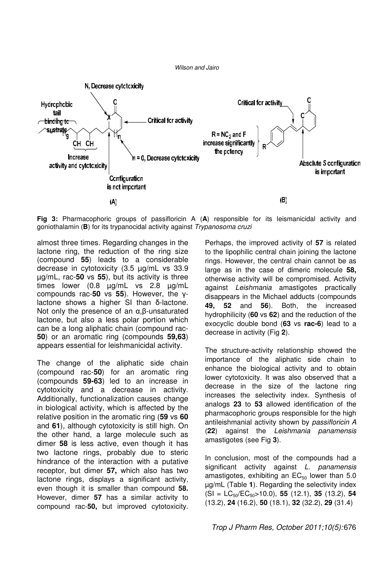

**Fig 3:** Pharmacophoric groups of passifloricin A (**A**) responsible for its leismanicidal activity and goniothalamin (**B**) for its trypanocidal activity against Trypanosoma cruzi

almost three times. Regarding changes in the lactone ring, the reduction of the ring size (compound **55**) leads to a considerable decrease in cytotoxicity (3.5 µg/mL vs 33.9 µg/mL, rac-**50** vs **55**), but its activity is three times lower (0.8 µg/mL vs 2.8 µg/mL compounds rac-**50** vs **55**). However, the γlactone shows a higher SI than δ-lactone. Not only the presence of an α,β-unsaturated lactone, but also a less polar portion which can be a long aliphatic chain (compound rac-**50**) or an aromatic ring (compounds **59,63**) appears essential for leishmanicidal activity.

The change of the aliphatic side chain (compound rac-**50**) for an aromatic ring (compounds **59-63**) led to an increase in cytotoxicity and a decrease in activity. Additionally, functionalization causes change in biological activity, which is affected by the relative position in the aromatic ring (**59** vs **60**  and **61**), although cytotoxicity is still high. On the other hand, a large molecule such as dimer **58** is less active, even though it has two lactone rings, probably due to steric hindrance of the interaction with a putative receptor, but dimer **57,** which also has two lactone rings, displays a significant activity, even though it is smaller than compound **58.**  However, dimer **57** has a similar activity to compound rac-**50,** but improved cytotoxicity.

Perhaps, the improved activity of **57** is related to the lipophilic central chain joining the lactone rings. However, the central chain cannot be as large as in the case of dimeric molecule **58,**  otherwise activity will be compromised. Activity against Leishmania amastigotes practically disappears in the Michael adducts (compounds **49, 52** and **56**). Both, the increased hydrophilicity (**60** vs **62**) and the reduction of the exocyclic double bond (**63** vs **rac-6**) lead to a decrease in activity (Fig **2**).

The structure-activity relationship showed the importance of the aliphatic side chain to enhance the biological activity and to obtain lower cytotoxicity. It was also observed that a decrease in the size of the lactone ring increases the selectivity index. Synthesis of analogs **23** to **53** allowed identification of the pharmacophoric groups responsible for the high antileishmanial activity shown by passifloricin A (**22**) against the Leishmania panamensis amastigotes (see Fig **3**).

In conclusion, most of the compounds had a significant activity against *L. panamensis* amastigotes, exhibiting an  $EC_{50}$  lower than 5.0 µg/mL (Table **1**). Regarding the selectivity index (SI = LC50/EC50>10.0), **55** (12.1), **35** (13.2), **54**  (13.2), **24** (16.2), **50** (18.1), **32** (32.2), **29** (31.4)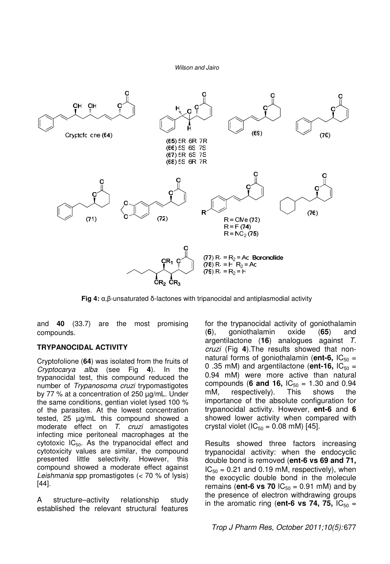

**Fig 4:** α,β-unsaturated δ-lactones with tripanocidal and antiplasmodial activity

and **40** (33.7) are the most promising compounds.

### **TRYPANOCIDAL ACTIVITY**

Cryptofolione (**64**) was isolated from the fruits of Cryptocarya alba (see Fig **4**). In the trypanocidal test, this compound reduced the number of Trypanosoma cruzi trypomastigotes by 77 % at a concentration of 250 µg/mL. Under the same conditions, gentian violet lysed 100 % of the parasites. At the lowest concentration tested, 25 µg/mL this compound showed a moderate effect on T. cruzi amastigotes infecting mice peritoneal macrophages at the cytotoxic  $IC_{50}$ . As the trypanocidal effect and cytotoxicity values are similar, the compound presented little selectivity. However, this compound showed a moderate effect against Leishmania spp promastigotes (< 70 % of lysis) [44].

A structure–activity relationship study established the relevant structural features

for the trypanocidal activity of goniothalamin (**6**), goniothalamin oxide (**65**) and argentilactone (**16**) analogues against T. cruzi (Fig **4**).The results showed that nonnatural forms of goniothalamin ( $ent-6$ ,  $IC_{50}$  = 0.35 mM) and argentilactone ( $\text{ent-16}$ ,  $\text{IC}_{50}$  = 0.94 mM) were more active than natural compounds (**6 and 16,**  $IC_{50} = 1.30$  and 0.94 mM, respectively). This shows the mM, respectively). This shows the importance of the absolute configuration for trypanocidal activity. However, **ent-6** and **6** showed lower activity when compared with crystal violet ( $IC_{50} = 0.08$  mM) [45].

Results showed three factors increasing trypanocidal activity: when the endocyclic double bond is removed (**ent-6 vs 69 and 71,**   $IC_{50} = 0.21$  and 0.19 mM, respectively), when the exocyclic double bond in the molecule remains (**ent-6 vs 70**  $IC_{50} = 0.91$  mM) and by the presence of electron withdrawing groups in the aromatic ring (**ent-6 vs 74, 75,**  $IC_{50}$  =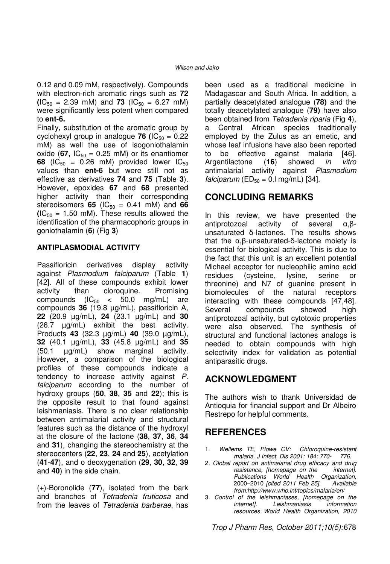0.12 and 0.09 mM, respectively). Compounds with electron-rich aromatic rings such as **72**   $(IC_{50} = 2.39$  mM) and **73**  $(IC_{50} = 6.27$  mM) were significantly less potent when compared to **ent-6.**

Finally, substitution of the aromatic group by cyclohexyl group in analogue **76 (** $IC_{50} = 0.22$ ) mM) as well the use of isogoniothalamin oxide (67,  $IC_{50} = 0.25$  mM) or its enantiomer **68** ( $IC_{50} = 0.26$  mM) provided lower  $IC_{50}$ values than **ent-6** but were still not as effective as derivatives **74** and **75** (Table **3**). However, epoxides **67** and **68** presented higher activity than their corresponding stereoisomers **65** ( $IC_{50} = 0.41$  mM) and **66**  $(IC_{50} = 1.50$  mM). These results allowed the identification of the pharmacophoric groups in goniothalamin (**6**) (Fig **3**)

### **ANTIPLASMODIAL ACTIVITY**

Passifloricin derivatives display activity against Plasmodium falciparum (Table **1**) [42]. All of these compounds exhibit lower activity than cloroquine. Promising compounds  $(IC_{50} < 50.0$  mg/mL) are compounds **36** (19.8 µg/mL), passifloricin A, **22** (20.9 µg/mL), **24** (23.1 µg/mL) and **30** (26.7 µg/mL) exhibit the best activity. Products **43** (32.3 µg/mL) **40** (39.0 µg/mL), **32** (40.1 µg/mL), **33** (45.8 µg/mL) and **35** (50.1 µg/mL) show marginal activity. However, a comparison of the biological profiles of these compounds indicate a tendency to increase activity against P. falciparum according to the number of hydroxy groups (**50**, **38**, **35** and **22**); this is the opposite result to that found against leishmaniasis. There is no clear relationship between antimalarial activity and structural features such as the distance of the hydroxyl at the closure of the lactone (**38**, **37**, **36**, **34** and **31**), changing the stereochemistry at the stereocenters (**22**, **23**, **24** and **25**), acetylation (**41**-**47**), and o deoxygenation (**29**, **30**, **32**, **39** and **40**) in the side chain.

(+)-Boronolide (**77**), isolated from the bark and branches of Tetradenia fruticosa and from the leaves of Tetradenia barberae, has

been used as a traditional medicine in Madagascar and South Africa. In addition, a partially deacetylated analogue (**78)** and the totally deacetylated analogue (**79)** have also been obtained from Tetradenia riparia (Fig **4**), a Central African species traditionally employed by the Zulus as an emetic, and whose leaf infusions have also been reported to be effective against malaria [46]. Argentilactone (**16**) showed in vitro antimalarial activity against Plasmodium falciparum ( $ED_{50} = 0.1$  mg/mL) [34].

# **CONCLUDING REMARKS**

In this review, we have presented the antiprotozoal activity of several α,βunsaturated δ-lactones. The results shows that the α,β-unsaturated-δ-lactone moiety is essential for biological activity. This is due to the fact that this unit is an excellent potential Michael acceptor for nucleophilic amino acid residues (cysteine, lysine, serine or threonine) and N7 of guanine present in biomolecules of the natural receptors interacting with these compounds [47,48]. Several compounds showed high antiprotozoal activity, but cytotoxic properties were also observed. The synthesis of structural and functional lactones analogs is needed to obtain compounds with high selectivity index for validation as potential antiparasitic drugs.

# **ACKNOWLEDGMENT**

The authors wish to thank Universidad de Antioquia for financial support and Dr Albeiro Restrepo for helpful comments.

### **REFERENCES**

- Wellems TE, Plowe CV: Chloroquine-resistant malaria. J Infect. Dis 2001; 184: 770- 776.
- 2. Global report on antimalarial drug efficacy and drug resistance, [homepage on the internet]. Publications World Health Organization, 2000–2010 [cited 2011 Feb 25]. Available from:http://www.who.int/topics/malaria/en/
- 3. Control of the leishmaniases, [homepage on the internet]. Leishmaniasis resources World Health Organization, 2010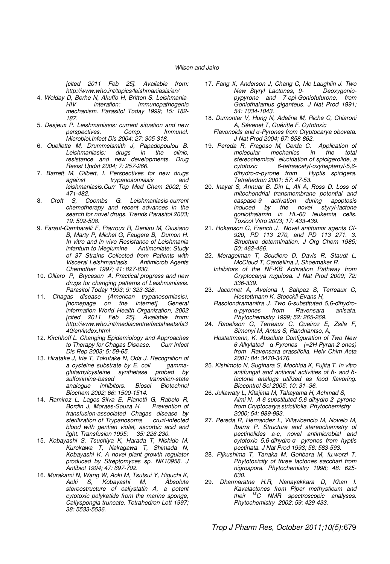[cited 2011 Feb 25]. Available from: http://www.who.int/topics/leishmaniasis/en/

- 4. Wolday D, Berhe N, Akuffo H, Britton S. Leishmania-HIV interation: immunopathogenic mechanism. Parasitol Today 1999; 15: 182- 187.
- 5. Desjeux P. Leishmaniasis: current situation and new perspectives. Comp. Immunol. Microbiol.Infect Dis 2004; 27: 305-318.
- 6. Ouellette M, Drummelsmith J, Papadopoulou B. Leishmaniasis: resistance and new developments. Drug Resist Updat 2004; 7: 257-266.
- 7. Barrett M, Gilbert, I. Perspectives for new drugs against trypanosomiasis and leishmaniasis.Curr Top Med Chem 2002; 5: 471-482.
- 8. Croft S, Coombs G. Leishmaniasis-current chemotherapy and recent advances in the search for novel drugs. Trends Parasitol 2003; 19: 502-508.
- 9. Faraut-Gambarelli F, Piarroux R, Deniau M, Giusiano B, Marty P, Michel G, Faugere B, Dumon H. In vitro and in vivo Resistance of Leishmania infantum to Meglumine of 37 Strains Collected from Patients with Visceral Leishmaniasis. Antimicrob Agents Chemother 1997; 41: 827-830.
- 10. Olliaro P, Bryceson A. Practical progress and new drugs for changing patterns of Leishmaniasis. Parasitol Today 1993; 9: 323-328.
- 11. Chagas disease (American trypanosomiasis), [homepage on the internet]. General information World Health Organization, 2002 [cited 2011 Feb 25]. Available from: http://www.who.int/mediacentre/factsheets/fs3 40/en/index.html
- 12. Kirchhoff L. Changing Epidemiology and Approaches to Therapy for Chagas Disease. Curr Infect Dis Rep 2003; 5: 59-65.
- 13. Hiratake J, Irie T, Tokutake N, Oda J. Recognition of<br>a cysteine substrate by E. coli gammaa cysteine substrate by E. coli glutamylcysteine synthetase probed by sulfoximine-based transition-state<br>analogue inhibitors. Biosci Biotechnol **Biotechnol** Biochem 2002; 66: 1500-1514.
- 14. Ramirez L, Lages-Silva E, Pianetti G, Rabelo R, Bordin J, Moraes-Souza H. transfusion-associated Chagas disease by sterilization of Trypanosoma cruzi-infected blood with gentian violet, ascorbic acid and light. Transfusion 1995; 35: 226-230.
- 15. Kobayashi S, Tsuchiya K, Harada T, Nishide M, Kurokawa T, Nakagawa T, Shimada N, Kobayashi K. A novel plant growth regulator produced by Streptomyces sp. NK10958. J Antibiot 1994; 47: 697-702.
- 16. Murakami N, Wang W, Aoki M, Tsutsui Y, Higuchi K,<br>Aoki S, Kobayashi M, Absolute S, Kobayashi M, stereostructure of callystatin A, a potent cytotoxic polyketide from the marine sponge, Callyspongia truncate. Tetrahedron Lett 1997; 38: 5533-5536.
- 17. Fang X, Anderson J, Chang C, Mc Laughlin J. Two New Styryl Lactones, 9pypyrone and 7-epi-Goniofufurone, from Goniothalamus giganteus. J Nat Prod 1991; 54: 1034-1043.
- 18. Dumonter V, Hung N, Adeline M, Riche C, Chiaroni A, Sévenet T, Guéritte F. Cytotoxic
	- Flavonoids and α-Pyrones from Cryptocarya obovata. J Nat Prod 2004; 67: 858-862.
- 19. Pereda R, Fragoso M, Cerda C. Application of mechanics stereochemical elucidation of spicigerolide, a<br>cytotoxic 6-tetraacetyl-oxyheptenyl-5.6-6-tetraacetyl-oxyheptenyl-5,6-<br>ne from Hyptis spicigera. dihydro-α-pyrone from Tetrahedron 2001; 57: 47-53.
- 20. Inayat S, Annuar B, Din L, Ali A, Ross D. Loss of mitochondrial transmembrane potential and caspase-9 activation during apoptosis<br>induced by the novel styryl-lactone the novel styryl-lactone goniothalamin in HL-60 leukemia cells. Toxicol Vitro 2003; 17: 433-439.
- 21. Hokanson G, French J. Novel antitumor agents CI-920, PD 113 270, and PD 113 271. 3. Structure determination. J Org Chem 1985; 50: 462-466.
- 22. Meragelman T, Scudiero D, Davis R, Staudt L, McCloud T, Cardellina J, Shoemaker R.
- Inhibitors of the NF-KB Activation Pathway from Cryptocarya rugulosa. J Nat Prod 2009; 72: 336-339.
- 23. Jaconnet A, Avelona I, Sahpaz S, Terreaux C, Hostettmann K, Stoeckli-Evans H,
	- Rasolondramanitra J. Two 6-substituted 5,6-dihydroα-pyrones from Ravensara anisata. Phytochemistry 1999; 52: 265-269.
- 24. Raoelison G, Terreaux C, Queiroz E, Zsila F, Simonyi M, Antus S, Randriantso, A,
- Hostettmann, K. Absolute Configuration of Two New 6-Alkylated α-Pyrones (=2H-Pyran-2-ones) from Ravensara crassifolia. Helv Chim Acta 2001; 84: 3470-3476.
- 25. Kishimoto N, Sugihara S, Mochida K, Fujita T. In vitro antifungal and antiviral activities of δ- and δlactone analogs utilized as food flavoring. Biocontrol Sci 2005; 10: 31–36.
- 26. Juliawaty L, Kitajima M, Takayama H, Achmad S, Aimi N. A 6-substituted-5,6-dihydro-2- pyrone from Cryptocarya strictifolia. Phytochemistry 2000; 54: 989-993.
- 27. Pereda R, Hernandez L, Villavicencio M, Novelo M, Ibarra P. Structure and stereochemistry of pectinolides a-c, novel antimicrobial and cytotoxic 5,6-dihydro-α- pyrones from hyptis pectinata. J Nat Prod 1993; 56: 583-593.
- 28. Fljkushima T, Tanaka M, Gohbara M, fu.worzl T. Phytotoxicity of three lactones sacchari from nigrospora. Phytochemistry 1998; 48: 625- 630.
- 29. Dharmaratne H.R, Nanayakkara D, Khan I. Kavalactones from Piper methysticum and their  ${}^{13}C$  NMR spectroscopic analyses. Phytochemistry 2002; 59: 429-433.